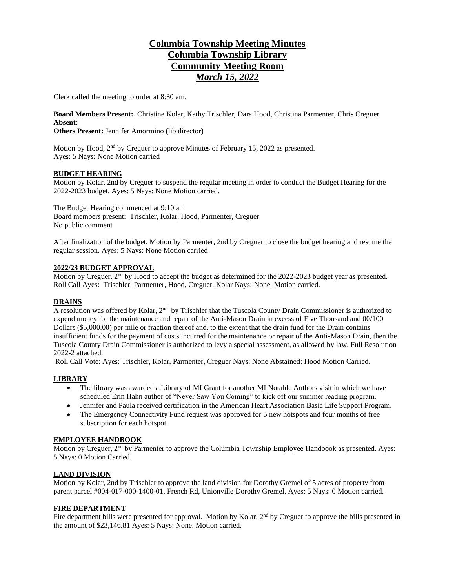# **Columbia Township Meeting Minutes Columbia Township Library Community Meeting Room** *March 15, 2022*

Clerk called the meeting to order at 8:30 am.

**Board Members Present:** Christine Kolar, Kathy Trischler, Dara Hood, Christina Parmenter, Chris Creguer **Absent**:

**Others Present:** Jennifer Amormino (lib director)

Motion by Hood, 2<sup>nd</sup> by Creguer to approve Minutes of February 15, 2022 as presented. Ayes: 5 Nays: None Motion carried

### **BUDGET HEARING**

Motion by Kolar, 2nd by Creguer to suspend the regular meeting in order to conduct the Budget Hearing for the 2022-2023 budget. Ayes: 5 Nays: None Motion carried.

The Budget Hearing commenced at 9:10 am Board members present: Trischler, Kolar, Hood, Parmenter, Creguer No public comment

After finalization of the budget, Motion by Parmenter, 2nd by Creguer to close the budget hearing and resume the regular session. Ayes: 5 Nays: None Motion carried

#### **2022/23 BUDGET APPROVAL**

Motion by Creguer, 2<sup>nd</sup> by Hood to accept the budget as determined for the 2022-2023 budget year as presented. Roll Call Ayes: Trischler, Parmenter, Hood, Creguer, Kolar Nays: None. Motion carried.

### **DRAINS**

A resolution was offered by Kolar, 2<sup>nd</sup> by Trischler that the Tuscola County Drain Commissioner is authorized to expend money for the maintenance and repair of the Anti-Mason Drain in excess of Five Thousand and 00/100 Dollars (\$5,000.00) per mile or fraction thereof and, to the extent that the drain fund for the Drain contains insufficient funds for the payment of costs incurred for the maintenance or repair of the Anti-Mason Drain, then the Tuscola County Drain Commissioner is authorized to levy a special assessment, as allowed by law. Full Resolution 2022-2 attached.

Roll Call Vote: Ayes: Trischler, Kolar, Parmenter, Creguer Nays: None Abstained: Hood Motion Carried.

### **LIBRARY**

- The library was awarded a Library of MI Grant for another MI Notable Authors visit in which we have scheduled Erin Hahn author of "Never Saw You Coming" to kick off our summer reading program.
- Jennifer and Paula received certification in the American Heart Association Basic Life Support Program.
- The Emergency Connectivity Fund request was approved for 5 new hotspots and four months of free subscription for each hotspot.

#### **EMPLOYEE HANDBOOK**

Motion by Creguer, 2<sup>nd</sup> by Parmenter to approve the Columbia Township Employee Handbook as presented. Ayes: 5 Nays: 0 Motion Carried.

### **LAND DIVISION**

Motion by Kolar, 2nd by Trischler to approve the land division for Dorothy Gremel of 5 acres of property from parent parcel #004-017-000-1400-01, French Rd, Unionville Dorothy Gremel. Ayes: 5 Nays: 0 Motion carried.

### **FIRE DEPARTMENT**

Fire department bills were presented for approval. Motion by Kolar, 2<sup>nd</sup> by Creguer to approve the bills presented in the amount of \$23,146.81 Ayes: 5 Nays: None. Motion carried.